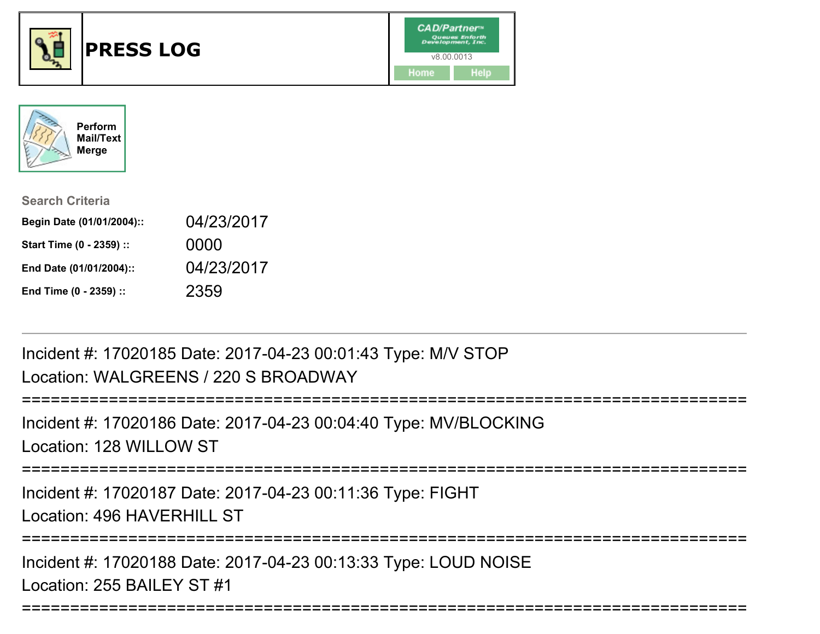





| <b>Search Criteria</b>    |            |
|---------------------------|------------|
| Begin Date (01/01/2004):: | 04/23/2017 |
| Start Time (0 - 2359) ::  | 0000       |
| End Date (01/01/2004)::   | 04/23/2017 |
| End Time (0 - 2359) ::    | 2359       |

Incident #: 17020185 Date: 2017-04-23 00:01:43 Type: M/V STOPLocation: WALGREENS / 220 S BROADWAY

===========================================================================Incident #: 17020186 Date: 2017-04-23 00:04:40 Type: MV/BLOCKINGLocation: 128 WILLOW ST

===========================================================================

Incident #: 17020187 Date: 2017-04-23 00:11:36 Type: FIGHT

Location: 496 HAVERHILL ST

===========================================================================

===========================================================================

Incident #: 17020188 Date: 2017-04-23 00:13:33 Type: LOUD NOISELocation: 255 BAILEY ST #1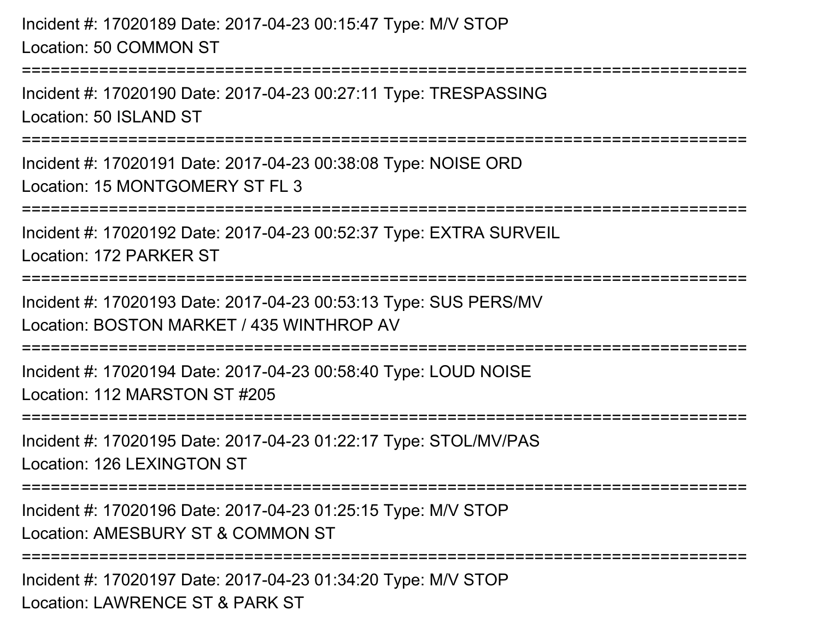## Incident #: 17020189 Date: 2017-04-23 00:15:47 Type: M/V STOPLocation: 50 COMMON ST

===========================================================================

Incident #: 17020190 Date: 2017-04-23 00:27:11 Type: TRESPASSINGLocation: 50 ISLAND ST

===========================================================================

Incident #: 17020191 Date: 2017-04-23 00:38:08 Type: NOISE ORDLocation: 15 MONTGOMERY ST FL 3

===========================================================================

Incident #: 17020192 Date: 2017-04-23 00:52:37 Type: EXTRA SURVEIL

Location: 172 PARKER ST

========================

Incident #: 17020193 Date: 2017-04-23 00:53:13 Type: SUS PERS/MVLocation: BOSTON MARKET / 435 WINTHROP AV

===========================================================================

Incident #: 17020194 Date: 2017-04-23 00:58:40 Type: LOUD NOISELocation: 112 MARSTON ST #205

===========================================================================

Incident #: 17020195 Date: 2017-04-23 01:22:17 Type: STOL/MV/PASLocation: 126 LEXINGTON ST

===========================================================================

Incident #: 17020196 Date: 2017-04-23 01:25:15 Type: M/V STOPLocation: AMESBURY ST & COMMON ST

**=============** 

Incident #: 17020197 Date: 2017-04-23 01:34:20 Type: M/V STOPLocation: LAWRENCE ST & PARK ST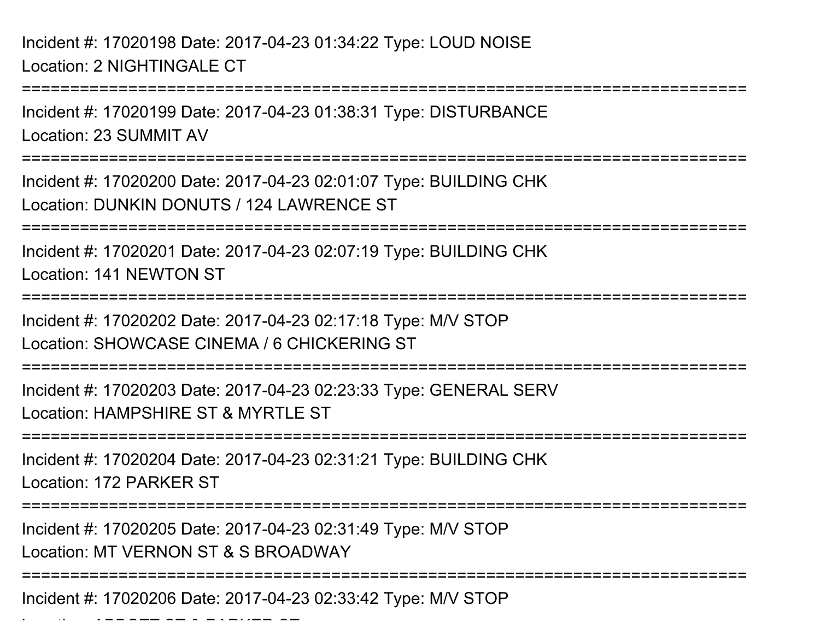===========================================================================Incident #: 17020199 Date: 2017-04-23 01:38:31 Type: DISTURBANCELocation: 23 SUMMIT AV===========================================================================Incident #: 17020200 Date: 2017-04-23 02:01:07 Type: BUILDING CHKLocation: DUNKIN DONUTS / 124 LAWRENCE ST===========================================================================Incident #: 17020201 Date: 2017-04-23 02:07:19 Type: BUILDING CHKLocation: 141 NEWTON ST===========================================================================Incident #: 17020202 Date: 2017-04-23 02:17:18 Type: M/V STOPLocation: SHOWCASE CINEMA / 6 CHICKERING ST===========================================================================Incident #: 17020203 Date: 2017-04-23 02:23:33 Type: GENERAL SERVLocation: HAMPSHIRE ST & MYRTLE ST===========================================================================Incident #: 17020204 Date: 2017-04-23 02:31:21 Type: BUILDING CHKLocation: 172 PARKER ST===========================================================================Incident #: 17020205 Date: 2017-04-23 02:31:49 Type: M/V STOPLocation: MT VERNON ST & S BROADWAY===========================================================================

Incident #: 17020206 Date: 2017-04-23 02:33:42 Type: M/V STOP

Location: ABBOTT ST & PARKER ST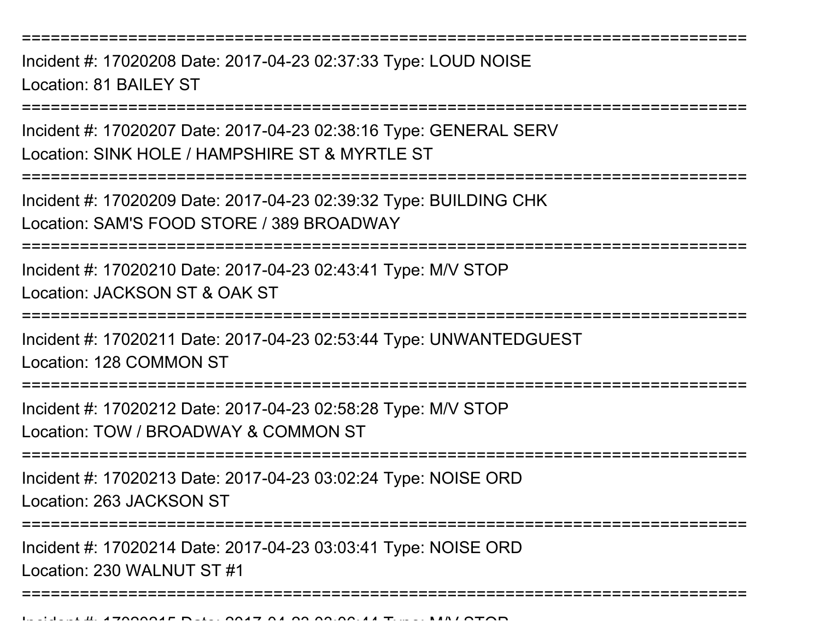Incident #: 17020208 Date: 2017-04-23 02:37:33 Type: LOUD NOISELocation: 81 BAILEY ST

===========================================================================

Incident #: 17020207 Date: 2017-04-23 02:38:16 Type: GENERAL SERVLocation: SINK HOLE / HAMPSHIRE ST & MYRTLE ST

===========================================================================

Incident #: 17020209 Date: 2017-04-23 02:39:32 Type: BUILDING CHKLocation: SAM'S FOOD STORE / 389 BROADWAY

==============================

Incident #: 17020210 Date: 2017-04-23 02:43:41 Type: M/V STOPLocation: JACKSON ST & OAK ST

===========================================================================

Incident #: 17020211 Date: 2017-04-23 02:53:44 Type: UNWANTEDGUESTLocation: 128 COMMON ST

===========================================================================

Incident #: 17020212 Date: 2017-04-23 02:58:28 Type: M/V STOPLocation: TOW / BROADWAY & COMMON ST

===========================================================================

Incident #: 17020213 Date: 2017-04-23 03:02:24 Type: NOISE ORDLocation: 263 JACKSON ST

===========================================================================

===========================================================================

Incident #: 17020214 Date: 2017-04-23 03:03:41 Type: NOISE ORD

Location: 230 WALNUT ST #1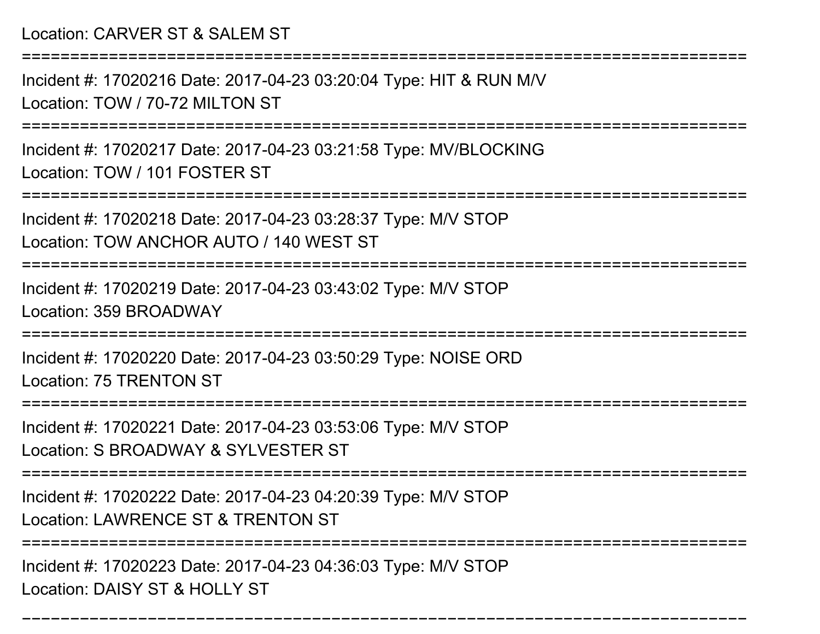#### Location: CARVER ST & SALEM ST

===========================================================================

Incident #: 17020216 Date: 2017-04-23 03:20:04 Type: HIT & RUN M/VLocation: TOW / 70-72 MILTON ST

===========================================================================

Incident #: 17020217 Date: 2017-04-23 03:21:58 Type: MV/BLOCKINGLocation: TOW / 101 FOSTER ST

===========================================================================

Incident #: 17020218 Date: 2017-04-23 03:28:37 Type: M/V STOPLocation: TOW ANCHOR AUTO / 140 WEST ST

===========================================================================

Incident #: 17020219 Date: 2017-04-23 03:43:02 Type: M/V STOPLocation: 359 BROADWAY

===========================================================================

Incident #: 17020220 Date: 2017-04-23 03:50:29 Type: NOISE ORDLocation: 75 TRENTON ST

===========================================================================

Incident #: 17020221 Date: 2017-04-23 03:53:06 Type: M/V STOP

Location: S BROADWAY & SYLVESTER ST

===========================================================================

Incident #: 17020222 Date: 2017-04-23 04:20:39 Type: M/V STOP

Location: LAWRENCE ST & TRENTON ST

===========================================================================

===========================================================================

Incident #: 17020223 Date: 2017-04-23 04:36:03 Type: M/V STOPLocation: DAISY ST & HOLLY ST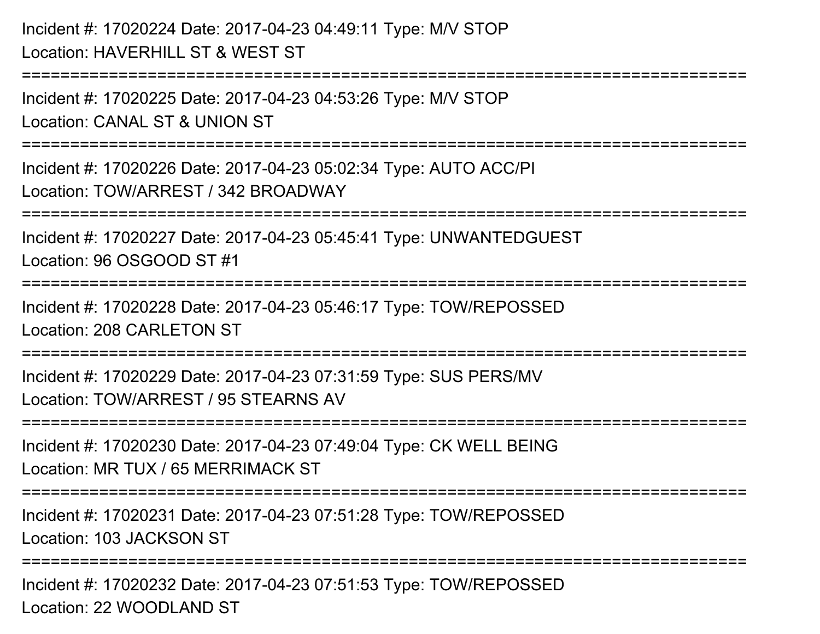### Incident #: 17020224 Date: 2017-04-23 04:49:11 Type: M/V STOPLocation: HAVERHILL ST & WEST ST

===========================================================================

Incident #: 17020225 Date: 2017-04-23 04:53:26 Type: M/V STOPLocation: CANAL ST & UNION ST

===========================================================================

Incident #: 17020226 Date: 2017-04-23 05:02:34 Type: AUTO ACC/PILocation: TOW/ARREST / 342 BROADWAY

===========================================================================

Incident #: 17020227 Date: 2017-04-23 05:45:41 Type: UNWANTEDGUESTLocation: 96 OSGOOD ST #1

===========================================================================

Incident #: 17020228 Date: 2017-04-23 05:46:17 Type: TOW/REPOSSEDLocation: 208 CARLETON ST

===========================================================================

Incident #: 17020229 Date: 2017-04-23 07:31:59 Type: SUS PERS/MVLocation: TOW/ARREST / 95 STEARNS AV

===========================================================================

Incident #: 17020230 Date: 2017-04-23 07:49:04 Type: CK WELL BEINGLocation: MR TUX / 65 MERRIMACK ST

===========================================================================

Incident #: 17020231 Date: 2017-04-23 07:51:28 Type: TOW/REPOSSEDLocation: 103 JACKSON ST

===========================================================================

Incident #: 17020232 Date: 2017-04-23 07:51:53 Type: TOW/REPOSSEDLocation: 22 WOODLAND ST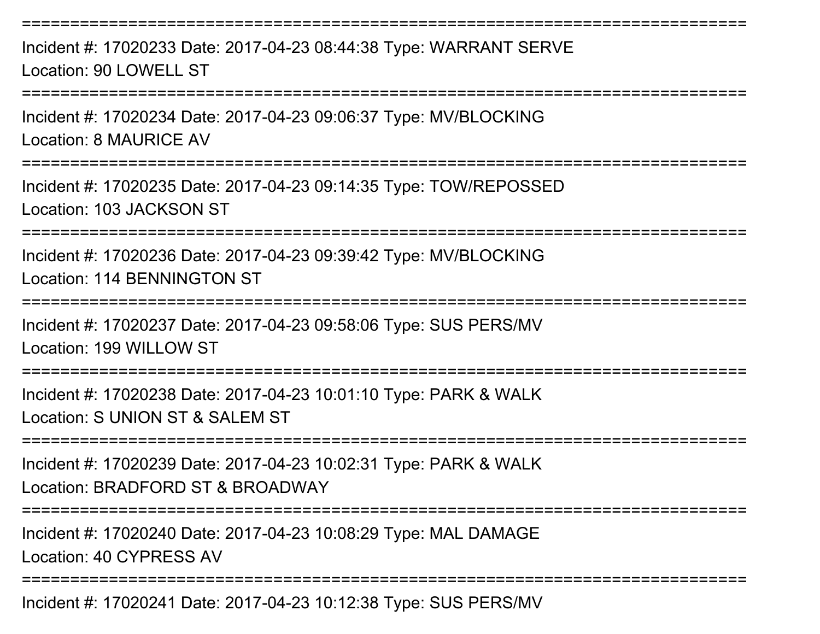Incident #: 17020233 Date: 2017-04-23 08:44:38 Type: WARRANT SERVELocation: 90 LOWELL ST

===========================================================================

===========================================================================

Incident #: 17020234 Date: 2017-04-23 09:06:37 Type: MV/BLOCKINGLocation: 8 MAURICE AV

===========================================================================

Incident #: 17020235 Date: 2017-04-23 09:14:35 Type: TOW/REPOSSEDLocation: 103 JACKSON ST

===========================================================================

Incident #: 17020236 Date: 2017-04-23 09:39:42 Type: MV/BLOCKINGLocation: 114 BENNINGTON ST

===========================================================================

Incident #: 17020237 Date: 2017-04-23 09:58:06 Type: SUS PERS/MVLocation: 199 WILLOW ST

===========================================================================

Incident #: 17020238 Date: 2017-04-23 10:01:10 Type: PARK & WALKLocation: S UNION ST & SALEM ST

===========================================================================

Incident #: 17020239 Date: 2017-04-23 10:02:31 Type: PARK & WALKLocation: BRADFORD ST & BROADWAY

===========================================================================

Incident #: 17020240 Date: 2017-04-23 10:08:29 Type: MAL DAMAGELocation: 40 CYPRESS AV

===========================================================================

Incident #: 17020241 Date: 2017-04-23 10:12:38 Type: SUS PERS/MV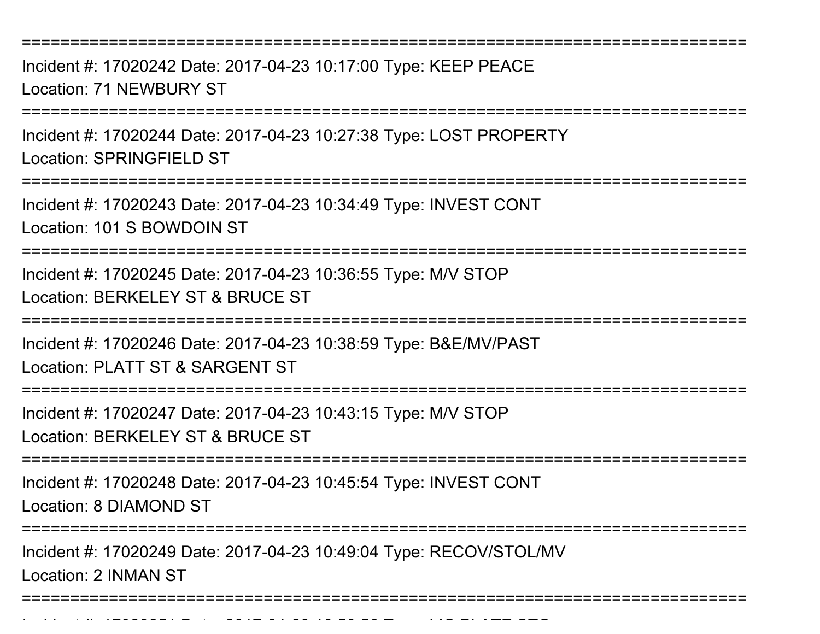Incident #: 17020242 Date: 2017-04-23 10:17:00 Type: KEEP PEACELocation: 71 NEWBURY ST

===========================================================================

Incident #: 17020244 Date: 2017-04-23 10:27:38 Type: LOST PROPERTYLocation: SPRINGFIELD ST

===========================================================================

Incident #: 17020243 Date: 2017-04-23 10:34:49 Type: INVEST CONTLocation: 101 S BOWDOIN ST

===========================================================================

Incident #: 17020245 Date: 2017-04-23 10:36:55 Type: M/V STOPLocation: BERKELEY ST & BRUCE ST

===========================================================================

Incident #: 17020246 Date: 2017-04-23 10:38:59 Type: B&E/MV/PASTLocation: PLATT ST & SARGENT ST

===========================================================================

Incident #: 17020247 Date: 2017-04-23 10:43:15 Type: M/V STOP

Location: BERKELEY ST & BRUCE ST

===========================================================================

Incident #: 17020248 Date: 2017-04-23 10:45:54 Type: INVEST CONTLocation: 8 DIAMOND ST

========================

Incident #: 17020249 Date: 2017-04-23 10:49:04 Type: RECOV/STOL/MV

Location: 2 INMAN ST

===========================================================================

Incident #: 17020251 Date: 2017 <sup>04</sup> 23 10:50:56 Type: LIC PLATE STO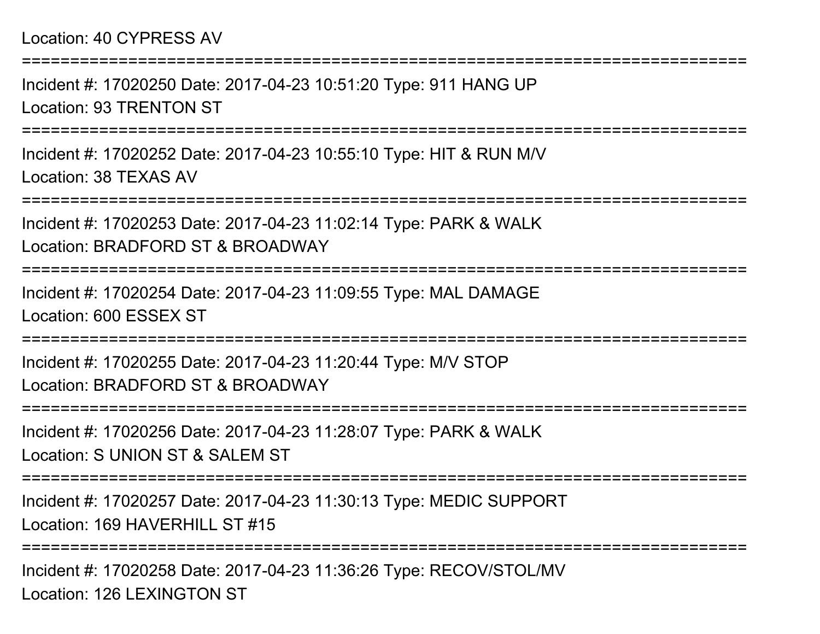#### Location: 40 CYPRESS AV

Incident #: 17020250 Date: 2017-04-23 10:51:20 Type: 911 HANG UPLocation: 93 TRENTON ST

===========================================================================

===========================================================================

Incident #: 17020252 Date: 2017-04-23 10:55:10 Type: HIT & RUN M/VLocation: 38 TEXAS AV

===========================================================================

Incident #: 17020253 Date: 2017-04-23 11:02:14 Type: PARK & WALKLocation: BRADFORD ST & BROADWAY

===========================================================================

Incident #: 17020254 Date: 2017-04-23 11:09:55 Type: MAL DAMAGELocation: 600 ESSEX ST

===========================================================================

Incident #: 17020255 Date: 2017-04-23 11:20:44 Type: M/V STOPLocation: BRADFORD ST & BROADWAY

===========================================================================

Incident #: 17020256 Date: 2017-04-23 11:28:07 Type: PARK & WALKLocation: S UNION ST & SALEM ST

===========================================================================

Incident #: 17020257 Date: 2017-04-23 11:30:13 Type: MEDIC SUPPORTLocation: 169 HAVERHILL ST #15

===========================================================================

Incident #: 17020258 Date: 2017-04-23 11:36:26 Type: RECOV/STOL/MVLocation: 126 LEXINGTON ST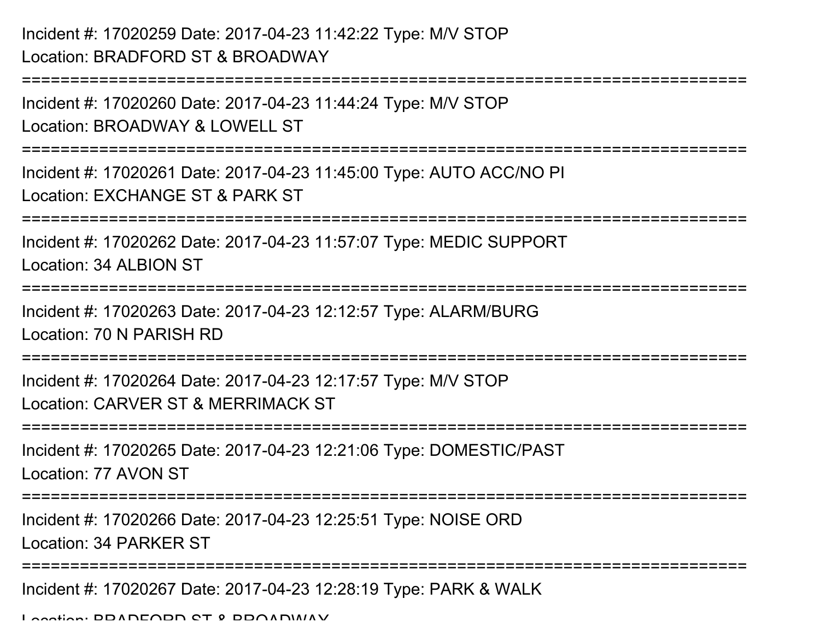## Incident #: 17020259 Date: 2017-04-23 11:42:22 Type: M/V STOPLocation: BRADFORD ST & BROADWAY

===========================================================================

```
Incident #: 17020260 Date: 2017-04-23 11:44:24 Type: M/V STOPLocation: BROADWAY & LOWELL ST
   ===========================================================================Incident #: 17020261 Date: 2017-04-23 11:45:00 Type: AUTO ACC/NO PILocation: EXCHANGE ST & PARK ST===========================================================================Incident #: 17020262 Date: 2017-04-23 11:57:07 Type: MEDIC SUPPORTLocation: 34 ALBION ST===========================================================================Incident #: 17020263 Date: 2017-04-23 12:12:57 Type: ALARM/BURGLocation: 70 N PARISH RD===========================================================================Incident #: 17020264 Date: 2017-04-23 12:17:57 Type: M/V STOPLocation: CARVER ST & MERRIMACK ST===========================================================================Incident #: 17020265 Date: 2017-04-23 12:21:06 Type: DOMESTIC/PASTLocation: 77 AVON ST=============
Incident #: 17020266 Date: 2017-04-23 12:25:51 Type: NOISE ORDLocation: 34 PARKER ST===========================================================================Incident #: 17020267 Date: 2017-04-23 12:28:19 Type: PARK & WALK
```
Location: BRADFORD ST & BROADWAY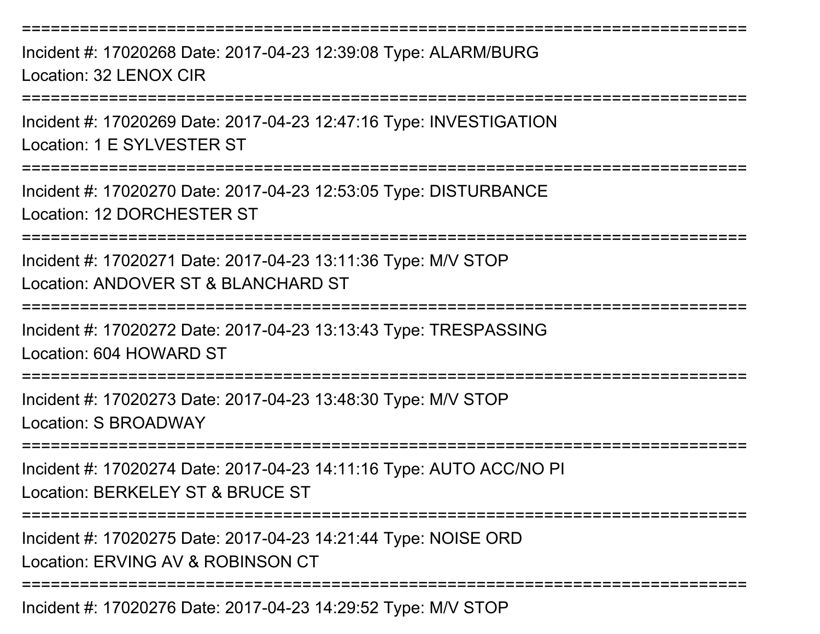===========================================================================Incident #: 17020268 Date: 2017-04-23 12:39:08 Type: ALARM/BURG

Location: 32 LENOX CIR

===========================================================================

Incident #: 17020269 Date: 2017-04-23 12:47:16 Type: INVESTIGATIONLocation: 1 E SYLVESTER ST

===========================================================================

Incident #: 17020270 Date: 2017-04-23 12:53:05 Type: DISTURBANCELocation: 12 DORCHESTER ST

===========================================================================

Incident #: 17020271 Date: 2017-04-23 13:11:36 Type: M/V STOPLocation: ANDOVER ST & BLANCHARD ST

===========================================================================

Incident #: 17020272 Date: 2017-04-23 13:13:43 Type: TRESPASSINGLocation: 604 HOWARD ST

===========================================================================

Incident #: 17020273 Date: 2017-04-23 13:48:30 Type: M/V STOPLocation: S BROADWAY

==================

Incident #: 17020274 Date: 2017-04-23 14:11:16 Type: AUTO ACC/NO PILocation: BERKELEY ST & BRUCE ST

===========================================================================

Incident #: 17020275 Date: 2017-04-23 14:21:44 Type: NOISE ORD

Location: ERVING AV & ROBINSON CT

===========================================================================

Incident #: 17020276 Date: 2017-04-23 14:29:52 Type: M/V STOP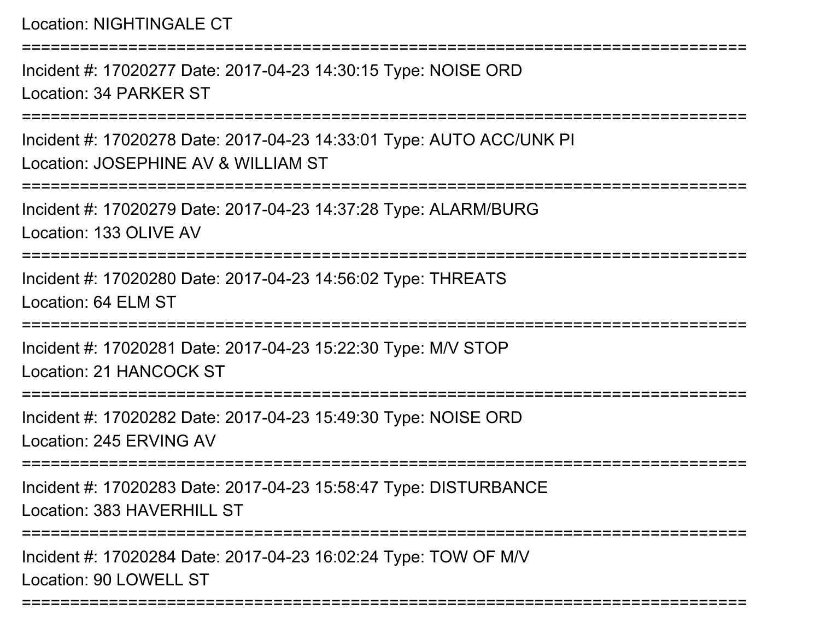Location: NIGHTINGALE CT

===========================================================================Incident #: 17020277 Date: 2017-04-23 14:30:15 Type: NOISE ORDLocation: 34 PARKER ST===========================================================================Incident #: 17020278 Date: 2017-04-23 14:33:01 Type: AUTO ACC/UNK PILocation: JOSEPHINE AV & WILLIAM ST===========================================================================Incident #: 17020279 Date: 2017-04-23 14:37:28 Type: ALARM/BURGLocation: 133 OLIVE AV===========================================================================Incident #: 17020280 Date: 2017-04-23 14:56:02 Type: THREATSLocation: 64 ELM ST===========================================================================Incident #: 17020281 Date: 2017-04-23 15:22:30 Type: M/V STOPLocation: 21 HANCOCK ST===========================================================================Incident #: 17020282 Date: 2017-04-23 15:49:30 Type: NOISE ORDLocation: 245 ERVING AV===========================================================================Incident #: 17020283 Date: 2017-04-23 15:58:47 Type: DISTURBANCELocation: 383 HAVERHILL ST ===========================================================================Incident #: 17020284 Date: 2017-04-23 16:02:24 Type: TOW OF M/VLocation: 90 LOWELL ST

===========================================================================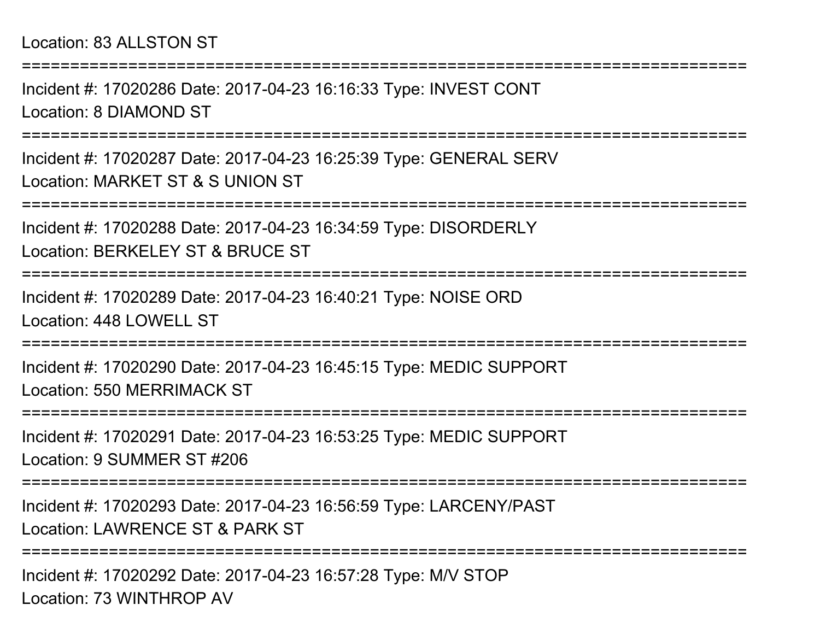Incident #: 17020286 Date: 2017-04-23 16:16:33 Type: INVEST CONTLocation: 8 DIAMOND ST

===========================================================================

===========================================================================

Incident #: 17020287 Date: 2017-04-23 16:25:39 Type: GENERAL SERVLocation: MARKET ST & S UNION ST

===========================================================================

Incident #: 17020288 Date: 2017-04-23 16:34:59 Type: DISORDERLYLocation: BERKELEY ST & BRUCE ST

===========================================================================

Incident #: 17020289 Date: 2017-04-23 16:40:21 Type: NOISE ORDLocation: 448 LOWELL ST

===========================================================================

Incident #: 17020290 Date: 2017-04-23 16:45:15 Type: MEDIC SUPPORTLocation: 550 MERRIMACK ST

===========================================================================

Incident #: 17020291 Date: 2017-04-23 16:53:25 Type: MEDIC SUPPORTLocation: 9 SUMMER ST #206

===========================================================================

Incident #: 17020293 Date: 2017-04-23 16:56:59 Type: LARCENY/PASTLocation: LAWRENCE ST & PARK ST

===========================================================================

Incident #: 17020292 Date: 2017-04-23 16:57:28 Type: M/V STOPLocation: 73 WINTHROP AV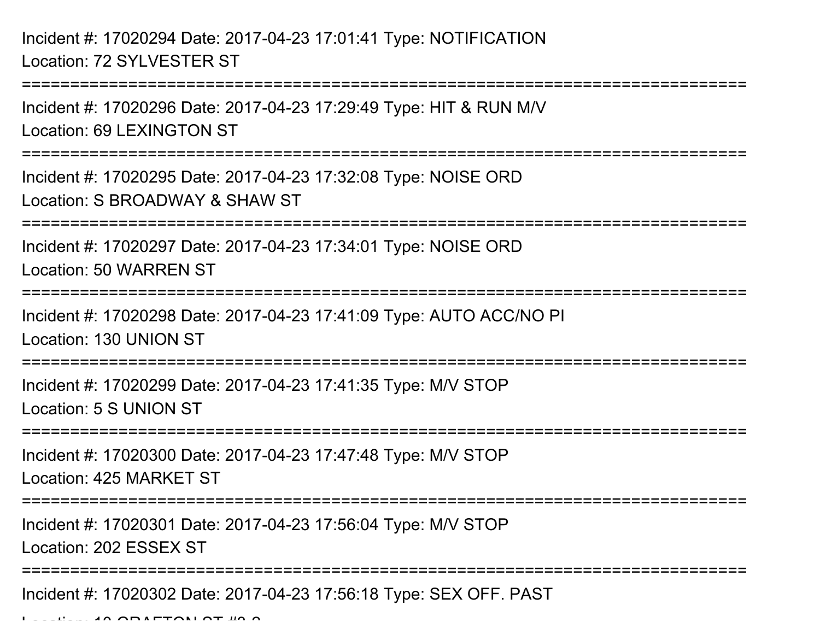Incident #: 17020294 Date: 2017-04-23 17:01:41 Type: NOTIFICATIONLocation: 72 SYLVESTER ST

 $\mathsf{L}$  ...  $\mathsf{L}$  and  $\mathsf{L}$  and  $\mathsf{L}$   $\mathsf{L}$  and  $\mathsf{L}$  and  $\mathsf{L}$  and  $\mathsf{L}$  and  $\mathsf{L}$  and  $\mathsf{L}$  and  $\mathsf{L}$  and  $\mathsf{L}$  and  $\mathsf{L}$  and  $\mathsf{L}$  and  $\mathsf{L}$  and  $\mathsf{L}$  and  $\mathsf{L}$  and  $\mathsf$ 

===========================================================================Incident #: 17020296 Date: 2017-04-23 17:29:49 Type: HIT & RUN M/VLocation: 69 LEXINGTON ST===========================================================================Incident #: 17020295 Date: 2017-04-23 17:32:08 Type: NOISE ORDLocation: S BROADWAY & SHAW ST===========================================================================Incident #: 17020297 Date: 2017-04-23 17:34:01 Type: NOISE ORDLocation: 50 WARREN ST**===============** Incident #: 17020298 Date: 2017-04-23 17:41:09 Type: AUTO ACC/NO PILocation: 130 UNION ST========================= Incident #: 17020299 Date: 2017-04-23 17:41:35 Type: M/V STOPLocation: 5 S UNION ST===========================================================================Incident #: 17020300 Date: 2017-04-23 17:47:48 Type: M/V STOPLocation: 425 MARKET ST===========================================================================Incident #: 17020301 Date: 2017-04-23 17:56:04 Type: M/V STOPLocation: 202 ESSEX ST===========================================================================Incident #: 17020302 Date: 2017-04-23 17:56:18 Type: SEX OFF. PAST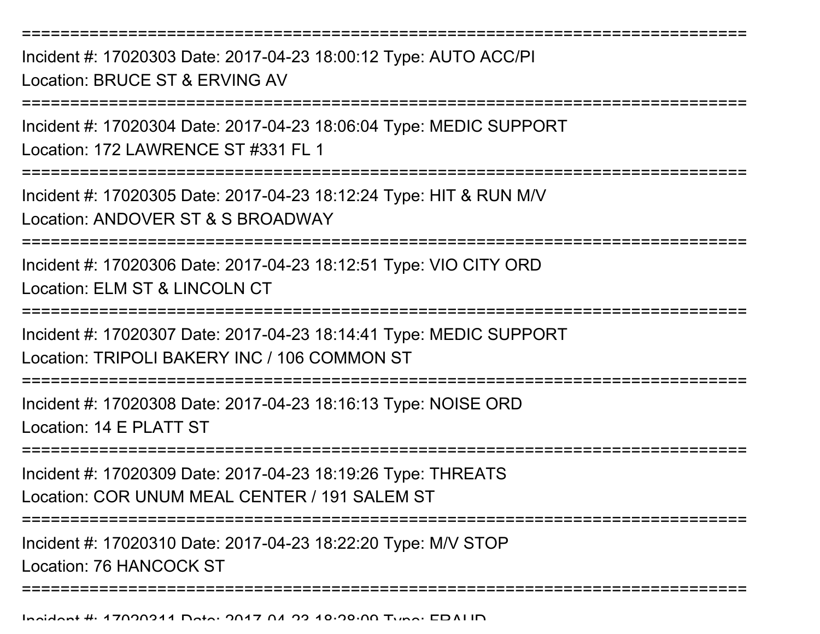Incident #: 17020303 Date: 2017-04-23 18:00:12 Type: AUTO ACC/PILocation: BRUCE ST & ERVING AV

===========================================================================

Incident #: 17020304 Date: 2017-04-23 18:06:04 Type: MEDIC SUPPORTLocation: 172 LAWRENCE ST #331 FL 1

===========================================================================

Incident #: 17020305 Date: 2017-04-23 18:12:24 Type: HIT & RUN M/VLocation: ANDOVER ST & S BROADWAY

===========================================================================

Incident #: 17020306 Date: 2017-04-23 18:12:51 Type: VIO CITY ORDLocation: ELM ST & LINCOLN CT

===========================================================================

Incident #: 17020307 Date: 2017-04-23 18:14:41 Type: MEDIC SUPPORTLocation: TRIPOLI BAKERY INC / 106 COMMON ST

===========================================================================

Incident #: 17020308 Date: 2017-04-23 18:16:13 Type: NOISE ORDLocation: 14 F PLATT ST

===========================

Incident #: 17020309 Date: 2017-04-23 18:19:26 Type: THREATSLocation: COR UNUM MEAL CENTER / 191 SALEM ST

===========================================================================

Incident #: 17020310 Date: 2017-04-23 18:22:20 Type: M/V STOPLocation: 76 HANCOCK ST

===========================================================================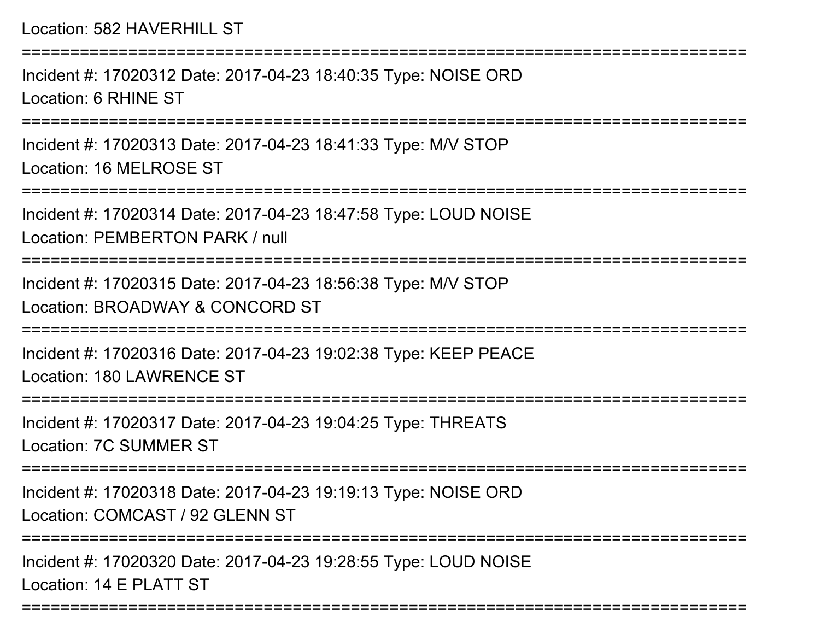Incident #: 17020312 Date: 2017-04-23 18:40:35 Type: NOISE ORDLocation: 6 RHINE ST

===========================================================================

Incident #: 17020313 Date: 2017-04-23 18:41:33 Type: M/V STOPLocation: 16 MELROSE ST

===========================================================================

Incident #: 17020314 Date: 2017-04-23 18:47:58 Type: LOUD NOISELocation: PEMBERTON PARK / null

===========================================================================

Incident #: 17020315 Date: 2017-04-23 18:56:38 Type: M/V STOP

Location: BROADWAY & CONCORD ST

===========================================================================

Incident #: 17020316 Date: 2017-04-23 19:02:38 Type: KEEP PEACELocation: 180 LAWRENCE ST

===========================================================================

Incident #: 17020317 Date: 2017-04-23 19:04:25 Type: THREATSLocation: 7C SUMMER ST

===========================================================================

Incident #: 17020318 Date: 2017-04-23 19:19:13 Type: NOISE ORDLocation: COMCAST / 92 GLENN ST

===========================================================================

===========================================================================

Incident #: 17020320 Date: 2017-04-23 19:28:55 Type: LOUD NOISELocation: 14 F PLATT ST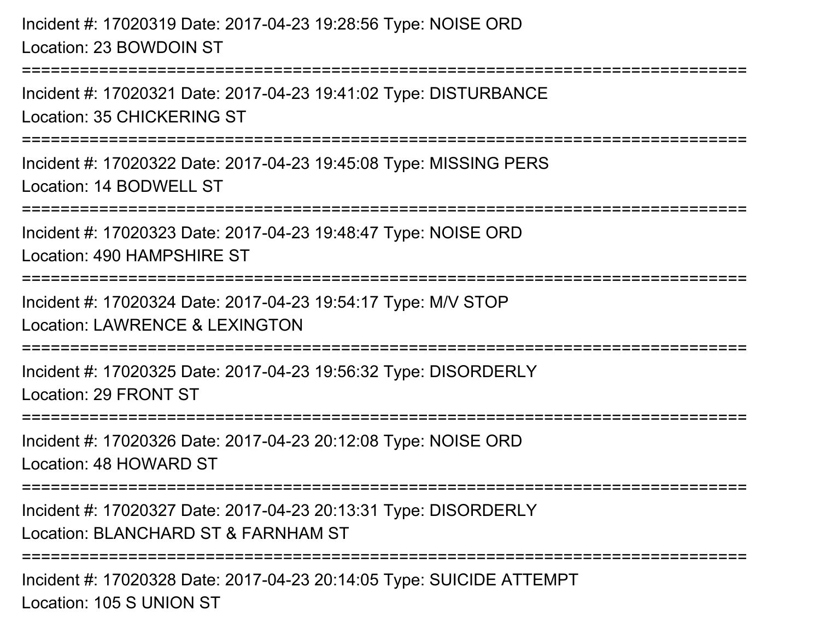Incident #: 17020319 Date: 2017-04-23 19:28:56 Type: NOISE ORDLocation: 23 BOWDOIN ST

===========================================================================

Incident #: 17020321 Date: 2017-04-23 19:41:02 Type: DISTURBANCELocation: 35 CHICKERING ST

===========================================================================

Incident #: 17020322 Date: 2017-04-23 19:45:08 Type: MISSING PERSLocation: 14 BODWELL ST

===========================================================================

Incident #: 17020323 Date: 2017-04-23 19:48:47 Type: NOISE ORD

Location: 490 HAMPSHIRE ST

===========================================================================

Incident #: 17020324 Date: 2017-04-23 19:54:17 Type: M/V STOP

Location: LAWRENCE & LEXINGTON

===========================================================================

Incident #: 17020325 Date: 2017-04-23 19:56:32 Type: DISORDERLYLocation: 29 FRONT ST

===========================================================================

Incident #: 17020326 Date: 2017-04-23 20:12:08 Type: NOISE ORDLocation: 48 HOWARD ST

===========================================================================

Incident #: 17020327 Date: 2017-04-23 20:13:31 Type: DISORDERLYLocation: BLANCHARD ST & FARNHAM ST

===========================================================================

Incident #: 17020328 Date: 2017-04-23 20:14:05 Type: SUICIDE ATTEMPTLocation: 105 S UNION ST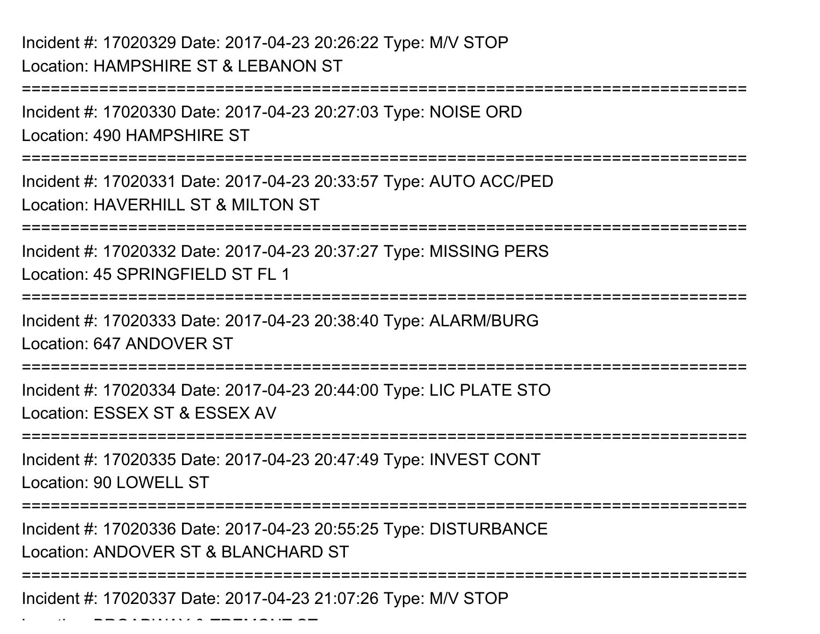===========================================================================Incident #: 17020330 Date: 2017-04-23 20:27:03 Type: NOISE ORDLocation: 490 HAMPSHIRE ST===========================================================================Incident #: 17020331 Date: 2017-04-23 20:33:57 Type: AUTO ACC/PEDLocation: HAVERHILL ST & MILTON ST ============ Incident #: 17020332 Date: 2017-04-23 20:37:27 Type: MISSING PERSLocation: 45 SPRINGFIFLD ST FL 1 ===========================================================================Incident #: 17020333 Date: 2017-04-23 20:38:40 Type: ALARM/BURGLocation: 647 ANDOVER ST===========================================================================Incident #: 17020334 Date: 2017-04-23 20:44:00 Type: LIC PLATE STOLocation: ESSEX ST & ESSEX AV===========================================================================Incident #: 17020335 Date: 2017-04-23 20:47:49 Type: INVEST CONTLocation: 90 LOWELL ST ===========================================================================Incident #: 17020336 Date: 2017-04-23 20:55:25 Type: DISTURBANCELocation: ANDOVER ST & BLANCHARD ST===========================================================================

Incident #: 17020337 Date: 2017-04-23 21:07:26 Type: M/V STOP

Location: BROADWAY & TREMONT ST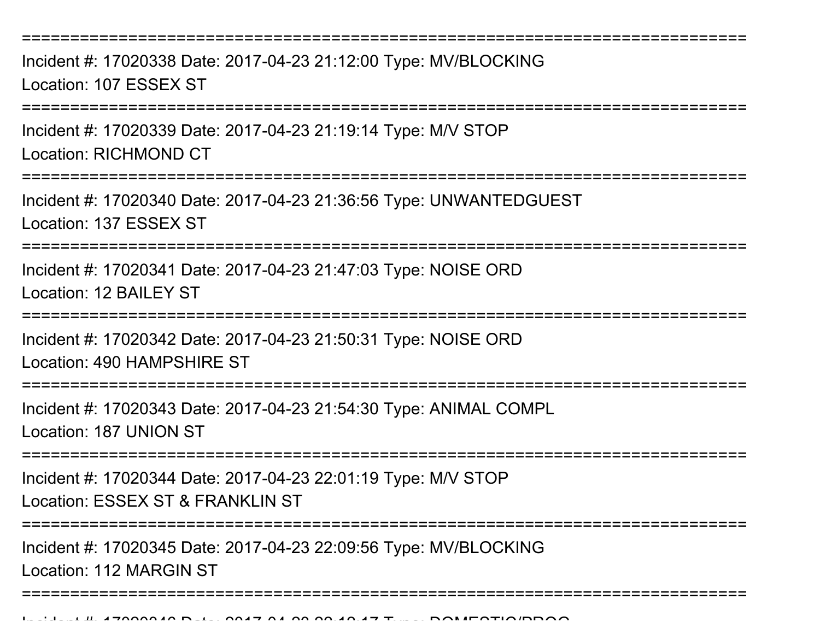Incident #: 17020338 Date: 2017-04-23 21:12:00 Type: MV/BLOCKINGLocation: 107 ESSEX ST

===========================================================================

Incident #: 17020339 Date: 2017-04-23 21:19:14 Type: M/V STOPLocation: RICHMOND CT

**==============** 

Incident #: 17020340 Date: 2017-04-23 21:36:56 Type: UNWANTEDGUESTLocation: 137 ESSEX ST

===========================================================================

Incident #: 17020341 Date: 2017-04-23 21:47:03 Type: NOISE ORDLocation: 12 BAILEY ST

===========================================================================

Incident #: 17020342 Date: 2017-04-23 21:50:31 Type: NOISE ORD

Location: 490 HAMPSHIRE ST

===========================================================================

Incident #: 17020343 Date: 2017-04-23 21:54:30 Type: ANIMAL COMPL

Location: 187 UNION ST

===========================================================================

Incident #: 17020344 Date: 2017-04-23 22:01:19 Type: M/V STOPLocation: ESSEX ST & FRANKLIN ST

===========================================================================

===========================================================================

Incident #: 17020345 Date: 2017-04-23 22:09:56 Type: MV/BLOCKINGLocation: 112 MARGIN ST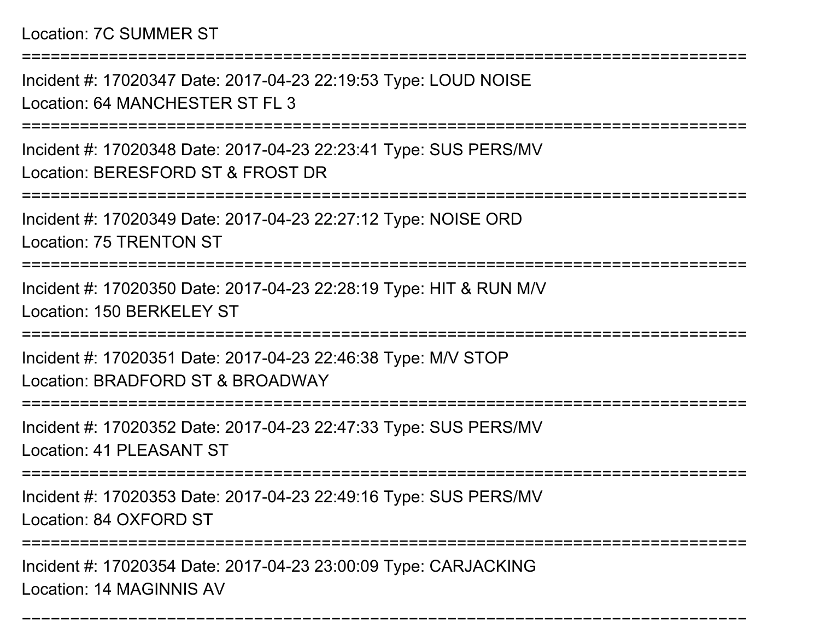#### Location: 7C SUMMER ST

===========================================================================Incident #: 17020347 Date: 2017-04-23 22:19:53 Type: LOUD NOISELocation: 64 MANCHESTER ST FL 3 ===========================================================================Incident #: 17020348 Date: 2017-04-23 22:23:41 Type: SUS PERS/MVLocation: BERESFORD ST & FROST DR===========================================================================Incident #: 17020349 Date: 2017-04-23 22:27:12 Type: NOISE ORDLocation: 75 TRENTON ST===========================================================================Incident #: 17020350 Date: 2017-04-23 22:28:19 Type: HIT & RUN M/VLocation: 150 BERKELEY ST===========================================================================Incident #: 17020351 Date: 2017-04-23 22:46:38 Type: M/V STOPLocation: BRADFORD ST & BROADWAY================ Incident #: 17020352 Date: 2017-04-23 22:47:33 Type: SUS PERS/MVLocation: 41 PLEASANT ST===========================================================================Incident #: 17020353 Date: 2017-04-23 22:49:16 Type: SUS PERS/MVLocation: 84 OXFORD ST======================= Incident #: 17020354 Date: 2017-04-23 23:00:09 Type: CARJACKINGLocation: 14 MAGINNIS AV

===========================================================================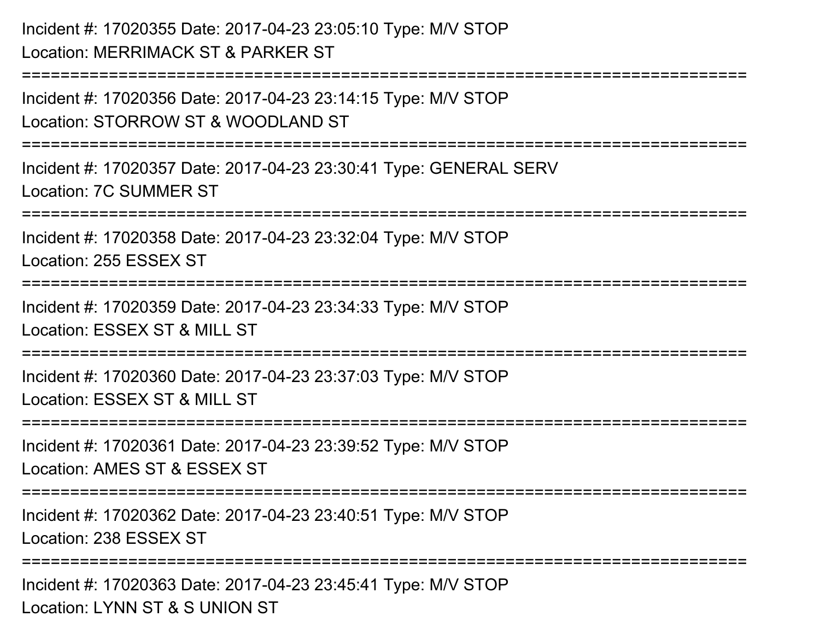| Incident #: 17020355 Date: 2017-04-23 23:05:10 Type: M/V STOP<br>Location: MERRIMACK ST & PARKER ST    |
|--------------------------------------------------------------------------------------------------------|
| Incident #: 17020356 Date: 2017-04-23 23:14:15 Type: M/V STOP<br>Location: STORROW ST & WOODLAND ST    |
| Incident #: 17020357 Date: 2017-04-23 23:30:41 Type: GENERAL SERV<br><b>Location: 7C SUMMER ST</b>     |
| Incident #: 17020358 Date: 2017-04-23 23:32:04 Type: M/V STOP<br>Location: 255 ESSEX ST<br>=========== |
| Incident #: 17020359 Date: 2017-04-23 23:34:33 Type: M/V STOP<br>Location: ESSEX ST & MILL ST          |
| Incident #: 17020360 Date: 2017-04-23 23:37:03 Type: M/V STOP<br>Location: ESSEX ST & MILL ST          |
| Incident #: 17020361 Date: 2017-04-23 23:39:52 Type: M/V STOP<br>Location: AMES ST & ESSEX ST          |
| Incident #: 17020362 Date: 2017-04-23 23:40:51 Type: M/V STOP<br>Location: 238 ESSEX ST                |
| Incident #: 17020363 Date: 2017-04-23 23:45:41 Type: M/V STOP<br>Location: LYNN ST & S UNION ST        |